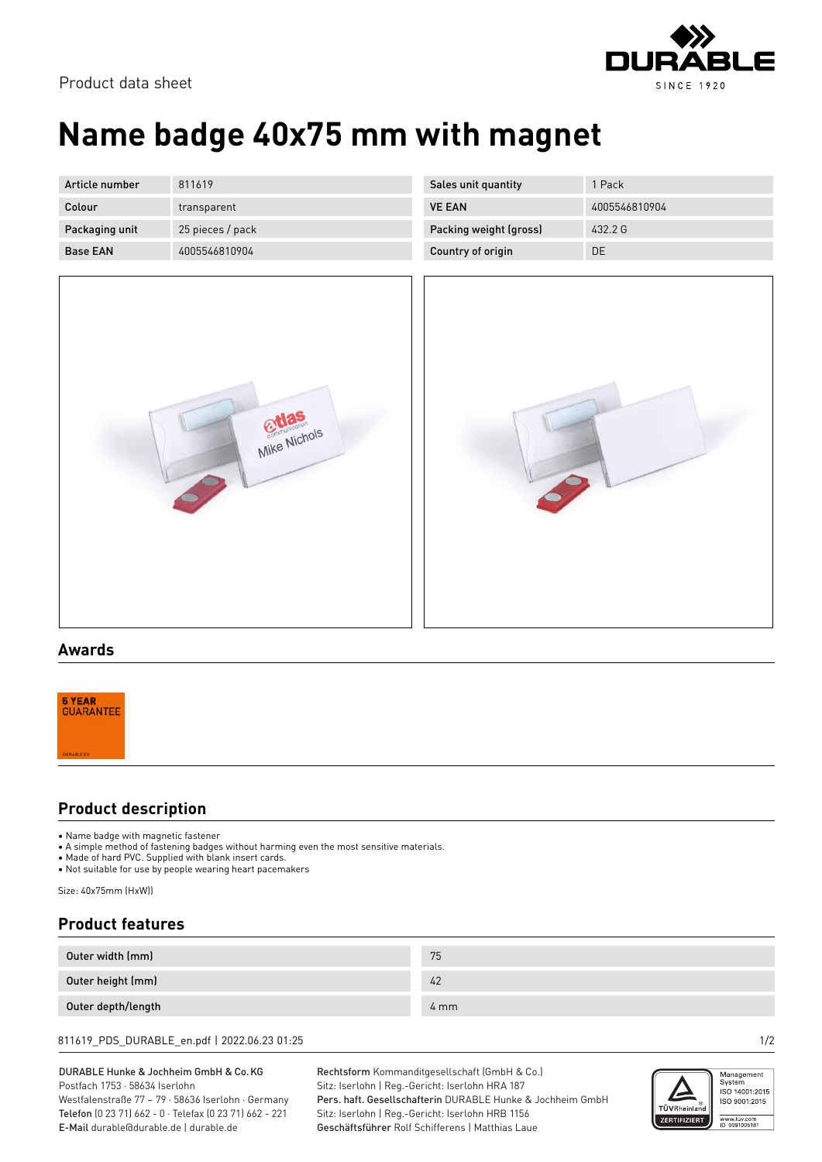

Product data sheet

# **Name badge 40x75 mm with magnet**

| Article number  | 811619           |
|-----------------|------------------|
| Colour          | transparent      |
| Packaging unit  | 25 pieces / pack |
| <b>Base FAN</b> | 4005546810904    |





|--|

### **Awards**



### **Product description**

• Name badge with magnetic fastener

• A simple method of fastening badges without harming even the most sensitive materials.

- Made of hard PVC. Supplied with blank insert cards.
- Not suitable for use by people wearing heart pacemakers

Size: 40x75mm (HxW))

## **Product features**

| Outer width (mm)   | 75               |
|--------------------|------------------|
| Outer height (mm)  | 42               |
| Outer depth/length | $4 \, \text{mm}$ |

811619\_PDS\_DURABLE\_en.pdf | 2022.06.23 01:25 1/2

#### DURABLE Hunke & Jochheim GmbH & Co.KG Postfach 1753 · 58634 Iserlohn

Westfalenstraße 77 – 79 · 58636 Iserlohn · Germany Telefon (0 23 71) 662 - 0 · Telefax (0 23 71) 662 - 221 E-Mail durable@durable.de | durable.de

Rechtsform Kommanditgesellschaft (GmbH & Co.) Sitz: Iserlohn | Reg.-Gericht: Iserlohn HRA 187 Pers. haft. Gesellschafterin DURABLE Hunke & Jochheim GmbH Sitz: Iserlohn | Reg.-Gericht: Iserlohn HRB 1156 Geschäftsführer Rolf Schifferens | Matthias Laue